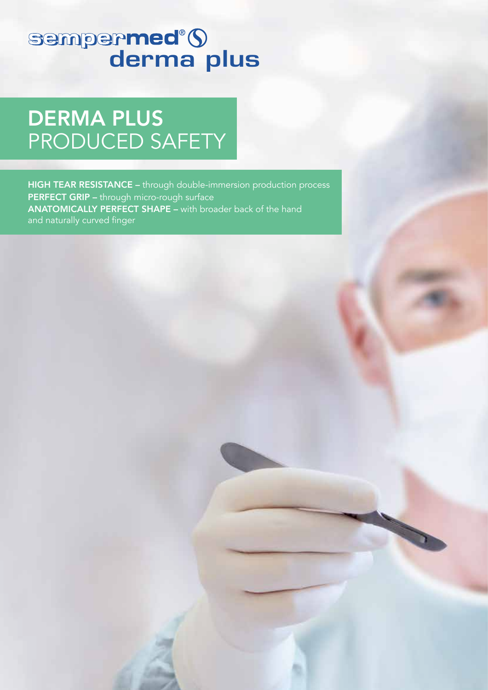# sempermed<sup>®</sup>()<br>derma plus

**DERMA PLUS** PRODUCED SAFETY

HIGH TEAR RESISTANCE - through double-immersion production process PERFECT GRIP - through micro-rough surface **ANATOMICALLY PERFECT SHAPE - with broader back of the hand** and naturally curved finger